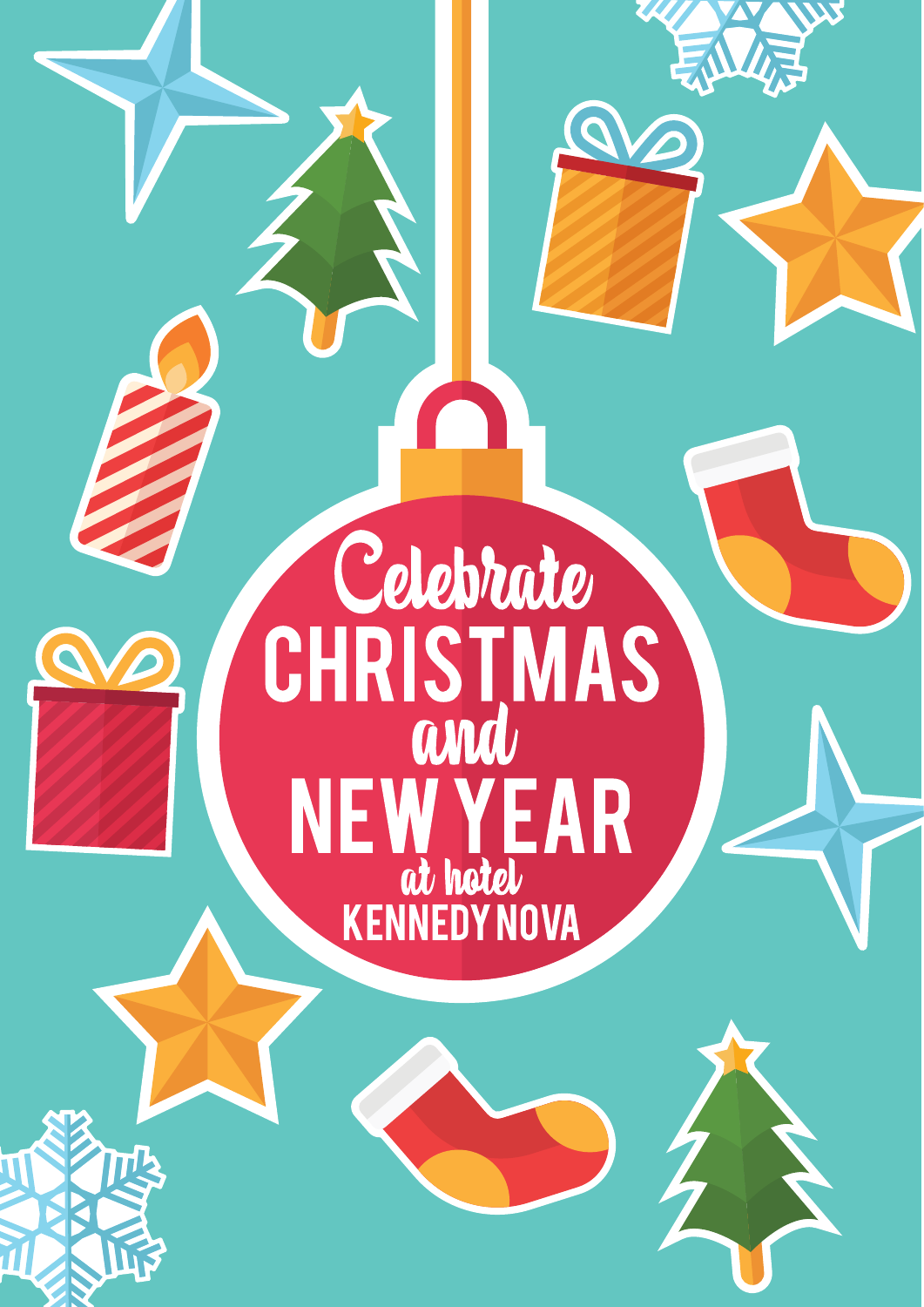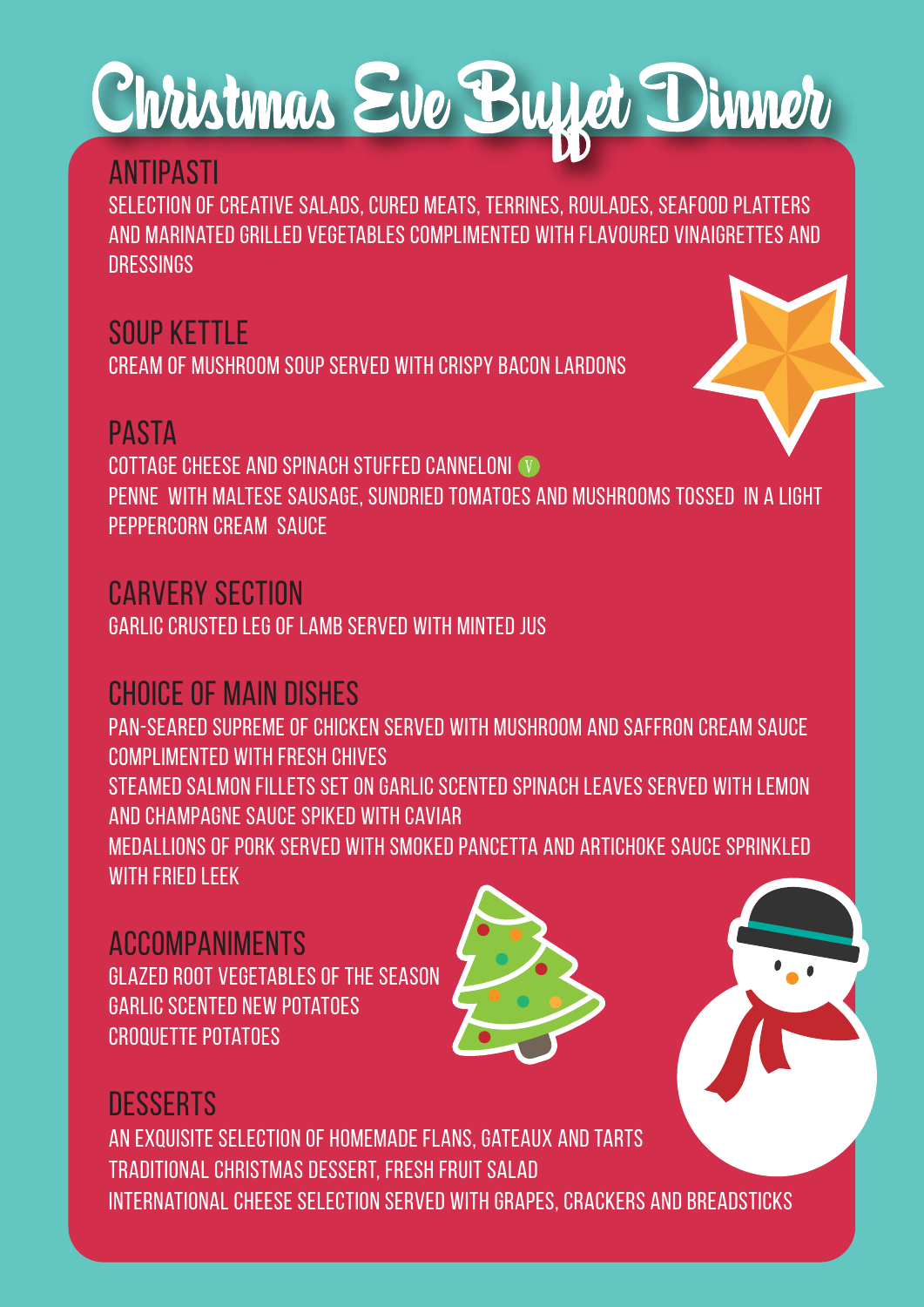# Christmas Eve Buyet Dinner

Selection of creative salads, cured meats, terrines, roulades, seafood platters and marinated grilled vegetables complimented with flavoured vinaigrettes and **DRESSINGS** 

#### Soup Kettle

Cream of mushroom soup served with crispy bacon lardons

#### **PASTA**

COTTAGE CHEESE AND SPINACH STUFFED CANNELONI Penne with Maltese sausage, sundried tomatoes and mushrooms tossed in a light peppercorn cream sauce

#### CARVERY SECTION

Garlic crusted leg of lamb served with minted jus

#### Choice of main dishes

Pan-seared supreme of chicken served WITH mushroom and saffron cream sauce complimented with fresh chives Steamed Salmon fillets set on garlic scented spinach leaves served with lemon and ChampagnE sauce spiked with caviar Medallions of pork served with smoked pancetta and artichoke sauce sprinkled with fried leek

#### Accompaniments

Glazed root vegetables of the season Garlic scented new potatoes Croquette Potatoes



An exquisite selection of homemade flans, gateaux and tarts TRADITIONAL CHRISTMAS DESSERT, Fresh Fruit Salad INTERNATIONAL CHEESE SELECTION SERVED WITH GRAPES, CRACKERS AND BREADSTICKS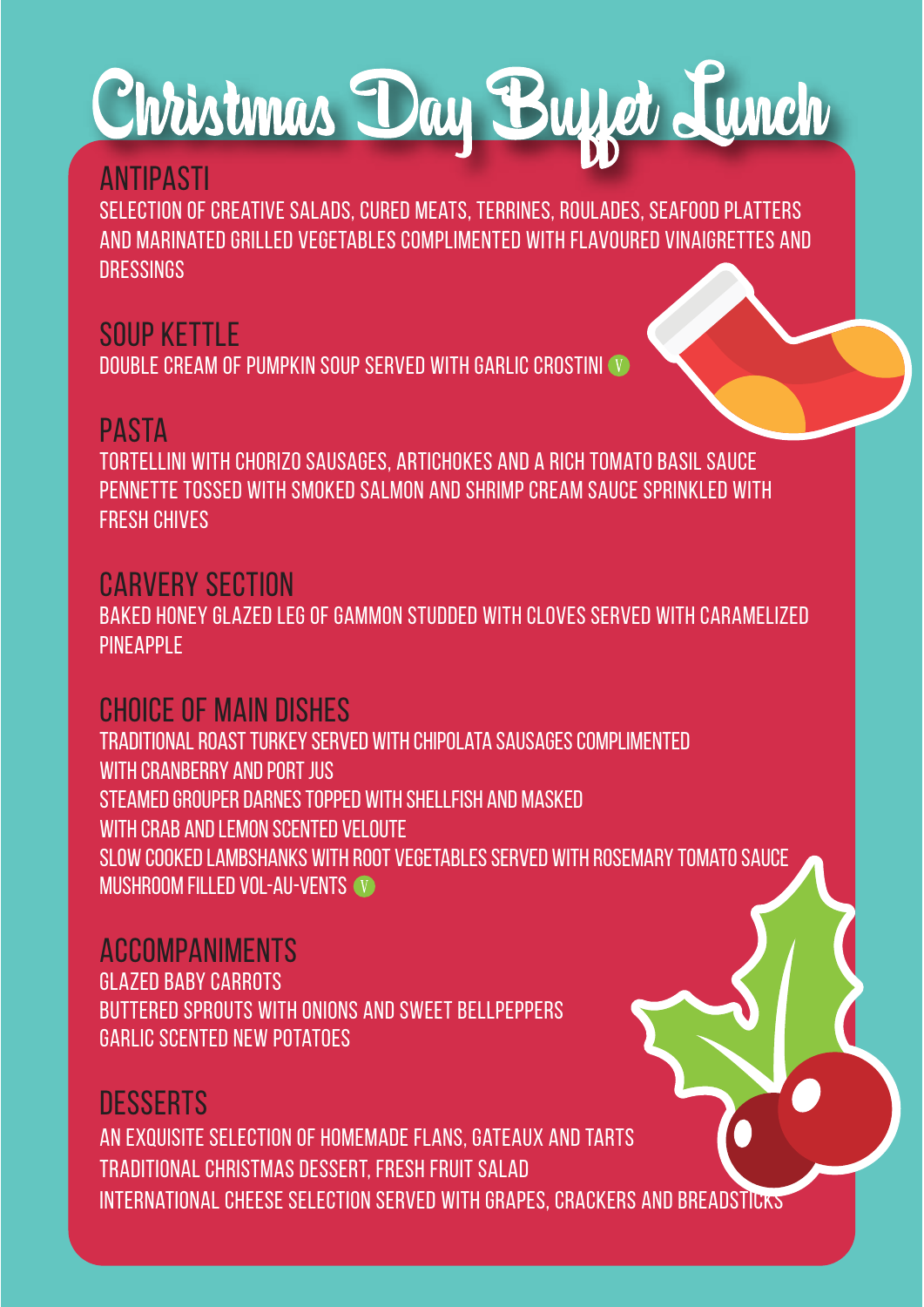### Christmas Day Buffer Lunch

#### Antipasti

Selection of creative salads, cured meats, terrines, roulades, seafood platters and marinated grilled vegetables complimented with flavoured vinaigrettes and **DRESSINGS** 

Soup Kettle Double cream of pumpkin soup served with garlic crostini

#### **PASTA**

Tortellini with chorizo sausages, artichokes and a rich tomato basil sauce Pennette tossed with smoked salmon and shrimp cream sauce sprinkled with fresh chives

#### Carvery Section

Baked honey glazed leg of gammon studded with cloves served with caramelized **PINEAPPLE** 

Choice of main dishes

TradITional roast turkey served with chipolata sausages complimented with cranberry and port jus Steamed Grouper Darnes topped with shellfish and masked WITH CRAB AND I FMON SCENTED VELOUTE Slow cooked lambshanks with root vegetables served with rosemary tomato sauce MUSHROOM FILLED VOL-AU-VENTS

#### Accompaniments

Glazed baby carrots Buttered sprouts with onions and sweet bellpeppers Garlic scented new potatoes

### **DESSERTS**

An exquisite selection of homemade flans, gateaux and tarts TRADITIONAL CHRISTMAS DESSERT, Fresh Fruit Salad INTERNATIONAL CHEESE SELECTION SERVED WITH GRAPES, CRACKERS AND BREADSTICKS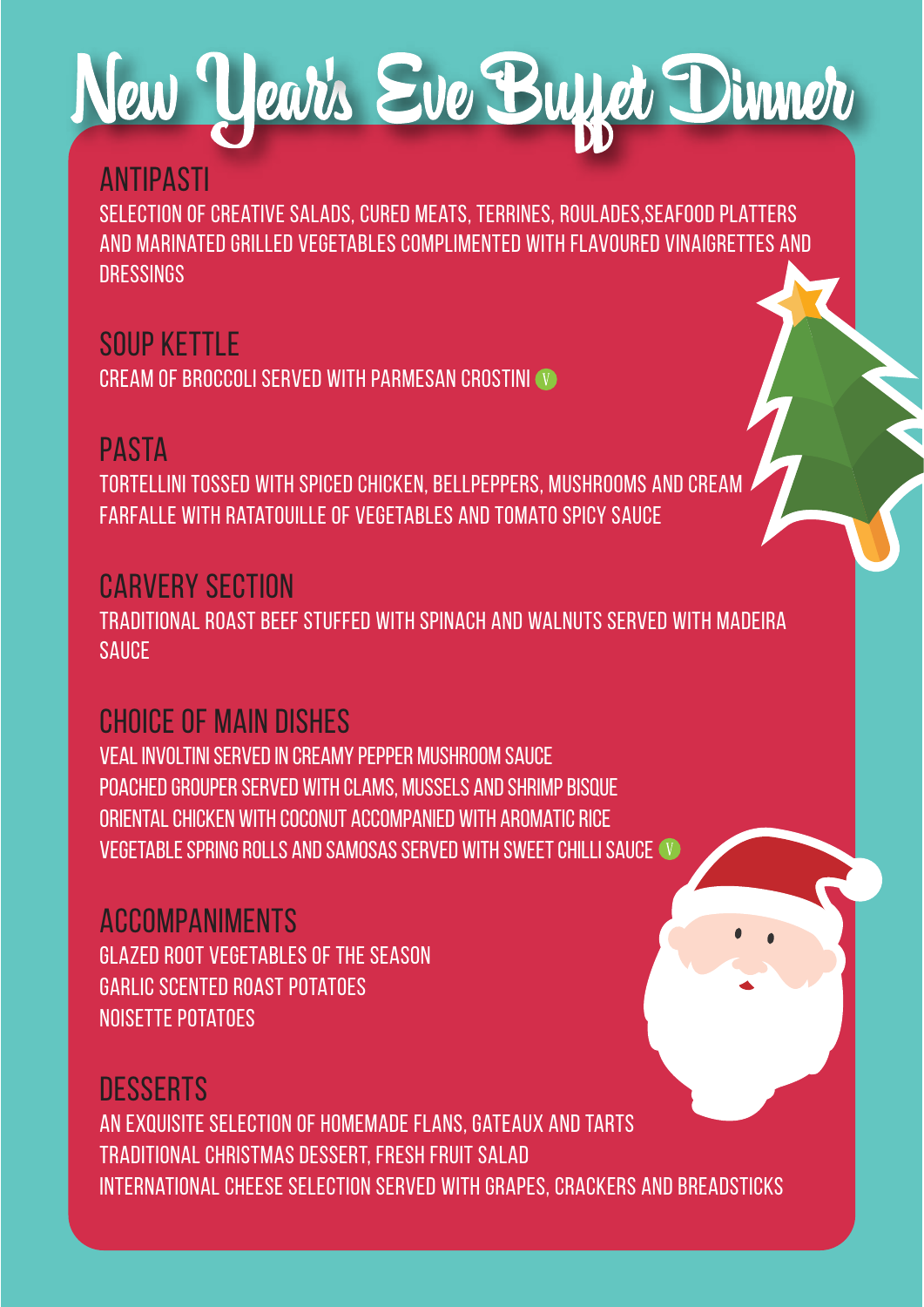### New Year's Eve Buyet Dinner

#### **ANTIPASTI**

Selection of creative salads, cured meats, terrines, roulades,seafood platters and marinated grilled vegetables complimented with flavoured vinaigrettes and dressings

Soup Kettle Cream of Broccoli served with parmesan crostini

#### **PASTA**

Tortellini tossed with spiced chicken, bellpeppers, mushrooms and cream Farfalle with ratatouille of vegetables and tomato spicy sauce

#### Carvery Section

Traditional roast Beef stuffed with spinach and walnuts served with Madeira **SAUCE** 

#### Choice of main dishes

VEAL INVOLTINI SERVED IN CREAMY PEPPER MUSHROOM SAUCE Poached grouper served with clams, mussels and shrimp bisque Oriental chicken with coconut accompanied with aromatic rice Vegetable spring rolls and samosas served with sweet chilli sauce

#### Accompaniments

Glazed root vegetables of the season Garlic scented roast potatoes Noisette Potatoes

#### **DESSERTS**

An exquisite selection of homemade flans, gateaux and tarts TRADITIONAL CHRISTMAS DESSERT, Fresh Fruit Salad International Cheese Selection served with grapes, crackers and breadsticks